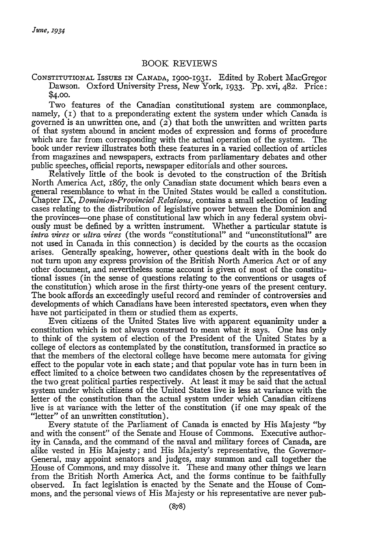## BOOK REVIEWS

**CONSTITUTIONAL ISSUES IN CANADA,** 1900-1931. Edited by Robert MacGregor Dawson. Oxford University Press, New York, 1933. Pp. xvi, 482. Price: \$4.00.

Two features of the Canadian constitutional system are commonplace, namely, **(I)** that to a preponderating extent the system under which Canada is governed is an unwritten one, and  $(2)$  that both the unwritten and written parts of that system abound in ancient modes of expression and forms of procedure which are far from corresponding with the actual operation of the system. The book under review illustrates both these features in a varied collection of articles from magazines and newspapers, extracts from parliamentary debates and other public speeches, official reports, newspaper editorials and other sources.

Relatively little of the book is devoted to the construction of the British North America Act, 1867, the only Canadian state document which bears even a general resemblance to what in the United States would be called a constitution. Chapter IX, *Dominion-Provincial Relations,* contains a small selection of leading cases relating to the distribution of legislative power between the Dominion and the provinces-one phase of constitutional law which in any federal system obviously must be defined by a written instrument. Whether a particular statute is *intra vires* or *ultra vires* (the words "constitutional" and "unconstitutional" are not used in Canada in this connection) is decided by the courts as the occasion arises. Generally speaking, however, other questions dealt with in the book do not turn upon any express provision of the British North America Act or of any other document, and nevertheless some account is given of most of the constitutional issues (in the sense of questions relating to the conventions or usages of the constitution) which arose in the first thirty-one years of the present century. The book affords an exceedingly useful record and reminder of controversies and developments of which Canadians have been interested spectators, even when they have not participated in them or studied them as experts.

Even citizens of the United States live with apparent equanimity under a constitution which is not always construed to mean what it says. One has only to think of the system of election of the President of the United States by a college of electors as contemplated by the constitution, transformed in practice so that the members of the electoral college have become mere automata for giving effect to the popular vote in each state; and that popular vote has in turn been in effect limited to a choice between two candidates chosen by the representatives of the two great political parties respectively. At least it may be said that the actual system under which citizens of the United States live is less at variance with the letter of the constitution than the actual system under which Canadian citizens live is at variance with the letter of the constitution (if one may speak of the "letter" of an unwritten constitution).

Every statute of the Parliament of Canada is enacted by His Majesty "by and with the consent" of the Senate and House of Commons. Executive authority in Canada, and the command of the naval and military forces of Canada, are alike vested in His Majesty; and His Majesty's representative, the Governor-General, may appoint senators and judges, may summon and call together the House of Commons, and may dissolve it. These and many other things we learn from the British North America Act, and the forms continue to be faithfully observed. In fact legislation is enacted by the Senate and the House of Commons, and the personal views of His Majesty or his representative are never pub-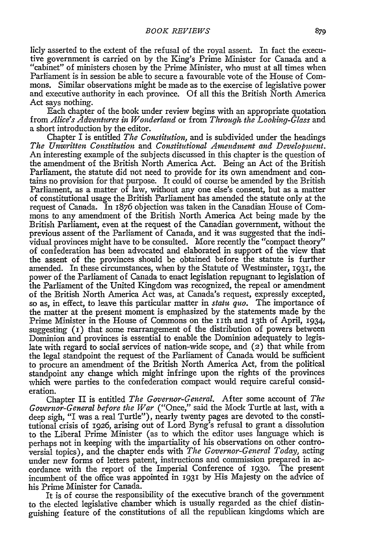licly asserted to the extent of the refusal of the royal assent. In fact the executive government is carried on by the King's Prime Minister for Canada and a "cabinet" of ministers chosen by the Prime Minister, who must at all times when Parliament is in session be able to secure a favourable vote of the House **of** Commons. Similar observations might be made as to the exercise of legislative power and executive authority in each province. Of all this the British North America Act says nothing.

Each chapter of the book under review begins with an appropriate quotation from *Alice's Adventures in Wonderland* or from *Through the Looking-Glass* and a short introduction **by** the editor.

Chapter I is entitled *The Constitution,* and is subdivided under the headings *The Unwritten Constitution* and *Constitutional Amendment and Development.* An interesting example of the subjects discussed in this chapter is the question of the amendment of the British North America Act. Being an Act of the British Parliament, the statute did not need to provide for its own amendment and contains no provision for that purpose. It could of course be amended by the British Parliament, as a matter of law, without any one else's consent, but as a matter of constitutional usage the British Parliament has amended the statute only at the request of Canada. In 1876 objection was taken in the Canadian House of Commons to any amendment of the British North America Act being made by the British Parliament, even at the request of the Canadian government, without the previous assent of the Parliament of Canada, and it was suggested that the individual provinces might have to be consulted. More recently the "compact theory" of confederation has been advocated and elaborated in support of the view that the assent of the provinces should be obtained before the statute is further amended. In these circumstances, when by the Statute of Westminster, 1931, the power of the Parliament of Canada to enact legislation repugnant to legislation of the Parliament of the United Kingdom was recognized, the repeal or amendment of the British North America Act was, at Canada's request, expressly excepted, so as, in effect, to leave this particular matter in *statu quo.* The importance of the matter at the present moment is emphasized by the statements made by the Prime Minister in the House of Commons on the 11th and 13th of April, 1934, suggesting  $(i)$  that some rearrangement of the distribution of powers between Dominion and provinces is essential to enable the Dominion adequately to legislate with regard to social services of nation-wide scope, and (2) that while from the legal standpoint the request of the Parliament of Canada would be sufficient to procure an amendment of the British North America Act, from the political standpoint any change which might infringe upon the rights of the provinces which were parties to the confederation compact would require careful consideration.

Chapter II is entitled *The Governtor-General.* After some account of *The Governor-General before the War* ("Once," said the Mock Turtle at last, with a deep sigh, "I was a real Turtle"), nearly twenty pages are devoted to the constitutional crisis of 1926, arising out of Lord Byng's refusal to grant a dissolution to the Liberal Prime Minister (as to which the editor uses language which is perhaps not in keeping with the impartiality of his observations on other controversial topics), and the chapter ends with *The Governor-General Today,* acting under new forms of letters patent, instructions and commission prepared in accordance with the report of the Imperial Conference of 193o. The present incumbent of the office was appointed in 1931 by His Majesty on the advice of his Prime Minister for Canada.

It is of course the responsibility of the executive branch of the government to the elected legislative chamber which is usually regarded as the chief distinguishing feature of the constitutions of all the republican kingdoms which are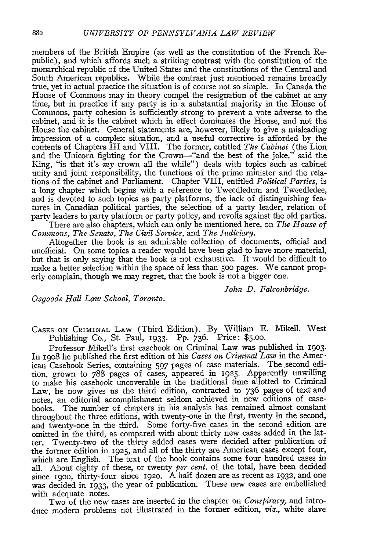members of the British Empire (as well as the constitution of the French Republic), and which affords such a striking contrast with the constitution of the monarchical republic of the United States and the constitutions of the Central and South American republics. While the contrast just mentioned remains broadly true, yet in actual practice the situation is of course not so simple. In Canada the House of Commons may in theory compel the resignation of the cabinet at any time, but in practice if any party is in a substantial majority in the House of Commons, party cohesion is sufficiently strong to prevent a vote adverse to the cabinet, and it is the cabinet which in effect dominates the House, and not the House the cabinet. General statements are, however, likely to give a misleading impression of a complex situation, and a useful corrective is afforded by the contents of Chapters III and VIII. The former, entitled *The Cabinet* (the Lion and the Unicorn fighting for the Crown-"and the best of the joke," said the King, "is that it's my crown all the while") deals with topics such as cabinet unity and joint responsibility, the functions of the prime minister and the relations of the cabinet and Parliament. Chapter VIII, entitled *Political Parties,* is a long chapter which begins with a reference to Tweedledum and Tweedledee, and is devoted to such topics as party platforms, the lack of distinguishing features in Canadian political parties, the selection of a party leader, relation of party leaders to party platform or party policy, and revolts against the old parties.

There are also chapters, which can only be mentioned here, on *The House of Commons, The Senate, The Civil Service,* and *The Judiciary.*

Altogether the book is an admirable collection of documents, official and unofficial. On some topics a reader would have been glad to have more material, but that is only saying that the book is not exhaustive. It would be difficult to make a better selection within the space of less than **500** pages. We cannot properly complain, though we may regret, that the book is not a bigger one.

*John D. Falconbridge.*

*Osgoode Hall Law School, Toronto.*

**CASES ON CRIMINAL** LAw (Third Edition). By William **E.** Mikell. West Publishing Co., St. Paul, 1933. Pp. 736. Price: **\$5.00.**

Professor Mikell's first casebook on Criminal Law was published in 1903. In 19o8 he published the first edition of his *Cases on Criminal Law* in the American Casebook Series, containing 597 pages of case materials. The second edition, grown to 788 pages of cases, appeared in 1925. Apparently unwilling to make his casebook uncoverable in the traditional time allotted to Criminal Law, he now gives us the third edition, contracted to 736 pages of text and notes, an editorial accomplishment seldom achieved in new editions of casebooks. The number of chapters in his analysis has remained almost constant throughout the three editions, with twenty-one in the first, twenty in the second, and twenty-one in the third. Some forty-five cases in the second edition are omitted in the third, as compared with about thirty new cases added in the latter. Twenty-two of the thirty added cases were decided after publication of the former edition in 1925, and all of the thirty are American cases except four, which are English. The text of the book contains some four hundred cases in all. About eighty of these, or twenty *per cent.* of the total, have been decided since **19oo,** thirty-four since 1920. A half dozen are as recent as 1932, and one was decided in 1933, the year of publication. These new cases are embellished with adequate notes.

Two of the new cases are inserted in the chapter on *Conspiracy,* and introduce modern problems not illustrated in the former edition, *viz.,* white slave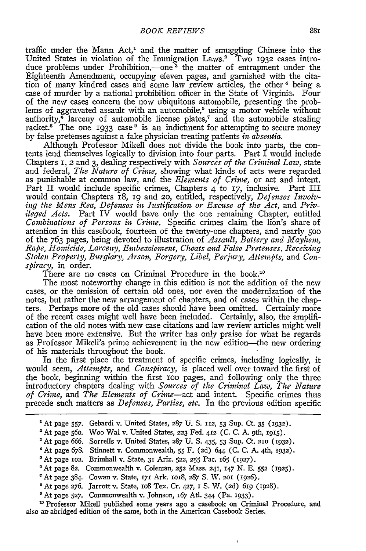traffic under the Mann Act,<sup>1</sup> and the matter of smuggling Chinese into the United States in violation of the Immigration Laws.<sup>2 S</sup>Iwo 1932 cases introduce problems under Prohibition,—one<sup>3</sup> the matter of entrapment under the Eighteenth Amendment, occupying eleven pages, and garnished with the citation of many kindred cases and some law review articles, the other 4 being a case of murder by a national prohibition officer in the State of Virginia. Four of the new cases concern the now ubiquitous automobile, presenting the problems of aggravated assault with an automobile, $<sup>5</sup>$  using a motor vehicle without</sup> authority, $\epsilon$  larceny of automobile license plates,<sup>7</sup> and the automobile stealing racket.<sup>8</sup> The one 1933 case<sup>9</sup> is an indictment for attempting to secure money by false pretenses against a fake physician treating patients *in absentia.*

Although Professor Mikell does not divide the book into parts, the contents lend themselves logically to division into four parts. Part I would include Chapters **I,** 2 and 3, dealing respectively with *Sources of the Crimnal Law,* state and federal, *The Nature of Crime,* showing what kinds of acts were regarded as punishable at common law, and the *Elements of Crime,* or act and intent. Part II would include specific crimes, Chapters 4 to 17, inclusive. Part III would contain Chapters 18, **19** and *20,* entitled, respectively, *Defenses Involv*ing the Mens Rea, Defenses in Justification or Excuse of the Act, and Priv*ileged Acts.* Part IV would have only the one remaining Chapter, entitled *Combinations of Persons in Crime.* Specific crimes claim the lion's share of attention in this casebook, fourteen of the twenty-one chapters, and nearly **5oo** of the *763* pages, being devoted to illustration of *Assault, Battery and Mayhem, Rape, Homicide, Larceny, Embezzlement, Cheats and False Pretenses. Receizing Stolen Property, Burglary, Arson, Forgery, Libel, Perjury, Attempts,* and *Conspiracy,* in order.

There are no cases on Criminal Procedure in the book.<sup>10</sup>

The most noteworthy change in this edition is not the addition of the new cases, or the omission of certain old ones, nor even the modernization of the notes, but rather the new arrangement of chapters, and of cases within the chapters. Perhaps more of the old cases should have been omitted. Certainly more of the recent cases might well have been included. Certainly, also, the amplification of the old notes with new case citations and **law** review articles might well have been more extensive. But the writer has only praise for what he regards as Professor Mikell's prime achievement in the new edition—the new ordering of his materials throughout the book.

In the first place the treatment of specific crimes, including logically, it would seem, *Attempts,* and *Conspiracy,* is placed well over toward the first of the book, beginning within the first IOO pages, and following only the three introductory chapters dealing with *Sources of the Criminal Law, The Nature of Crime,* and *The Elements of* Crime-act and intent. Specific crimes thus precede such matters as *Defenses, Parties, etc.* In the previous edition specific

- **IAt** page 557. Gebardi v. United States, **287 U. S.** 112, 53 Sup. Ct. 35 (1932).
- At page 56o. Woo Wai v. United States, **223** Fed. **412 (C. C. A.** 9th, 1915). **'At** page 666. Sorrells v. United States, **287 U. S.** 435, 53 Sup. Ct. **210** (1932).
- 
- 'At page 678. Stinnett v. Commonwealth, 55 F. **(2d)** 644 (C. **C. A.** 4th, 1932).
- **'At** page **1O2.** Brimhall v. State, 31 Ariz. **522, 255** Pac. *165* **(1927).**
- 'At page *82.* Commonwealth v. Coleman, **252** Mass. 241, **147 N. E. 552 (1925).**
- <sup>7</sup> At page 384. Cowan v. State, 171 Ark. l18, *287* **S.** W. **201** (1926).
- 'At page **276.** Jarrott v. State, io8 Tex. Cr. 427, **1 S.** W. **(2d)** 619 (1928).
- <sup>9</sup> At page 527. Commonwealth v. Johnson, 167 Atl. 344 (Pa. 1933).

**"** Professor Mikell published some years ago a casebook on Criminal Procedure, and also an abridged edition of the same, both in the American Casebook Series.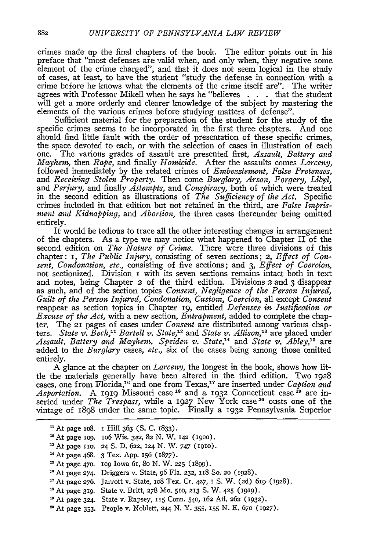crimes made up the final chapters of the book. The editor points out in his preface that "most defenses are valid when, and only when, they negative some element of the crime charged", and that it does not seem logical in the study of cases, at least, to have the student "study the defense in connection with a crime before he knows what the elements of the crime itself are". The writer agrees with Professor Mikell when he says he "believes . . . that the student will get a more orderly and clearer knowledge of the subject by mastering the elements of the various crimes before studying matters of defense".

Sufficient material for the preparation of the student for the study of the specific crimes seems to be incorporated in the first three chapters. And one should find little fault with the order of presentation of these specific crimes, the space devoted to each, or with the selection of cases in illustration of each one. The various grades of assault are presented first, *Assault, Battery and Mayhem,* then *Rape,* and finally *Homicide.* After the assaults comes *Larceny,* followed immediately by the related crimes of *Embezzlement, False Pretenses,* and *Receiving Stolen Property.* Then come *Burglary, Arson, Forgery, Likel,* and *Perjury,* and finally *Attempts,* and *Conspiracy,* both of which were treated in the second edition as illustrations of *The Sufficiency of the Act.* Specific crimes included in that edition but not retained in the third, are *False Imprisment and Kidnapping,* and *Abortion,* the three cases thereunder being omitted entirely.

It would be tedious to trace all the other interesting changes in arrangement of the chapters. As a type we may notice what happened to Chapter II of the second edition on *The Nature of Crinw.* There were three divisions of this chapter: i, *The Public Injury,* consisting of seven sections; 2, *Effect of Consent, Condonation, etc.,* consisting of five sections; and 3, *Effect of Coercion,* not sectionized. Division i with its seven sections remains intact both in text and notes, being Chapter 2 of the third edition. Divisions 2 and 3 disappear as such, and of the section topics *Consent, Negligence of the Person Injured, Guilt of the Person Injured, Condonation, Custom, Coercion,* all except *Consent* reappear as section topics in Chapter **19,** entitled *Defenses in Justification or Excuse of the Act,* with a new section, *Entrapment,* added to complete the chapter. The 21 pages of cases under *Consent* are distributed among various chapters. *State v. Beck,'1 Bartell v. State,2* and *State v. Allison,,"* are placed under Assault, Battery and Mayhem. Speiden v. State,<sup>14</sup> and State v. Abley,<sup>15</sup> are added to the *Burglary* cases, *etc.,* six of the cases being among those omitted entirely.

A glance at the chapter on *Larceny,* the longest in the book, shows how little the materials generally have been altered in the third edition. Two 1928 cases, one from Florida,<sup>16</sup> and one from Texas,<sup>17</sup> are inserted under *Caption and Asportation.* A *1919* Missouri case **' <sup>8</sup>**and a 1932 Connecticut case ' 0 are inserted under *The Trespass*, while a 1927 New York case<sup>20</sup> ousts one of the vintage of 1898 under the same topic. Finally a 1932 Pennsylvania Superior

|  |  |  |  | <sup>11</sup> At page 108. 1 Hill 363 (S. C. 1833). |  |
|--|--|--|--|-----------------------------------------------------|--|

- <sup>12</sup> At page 109. 106 Wis. 342, 82 N. W. 142 (1900).
- <sup>13</sup> At page 110. 24 S. D. 622, 124 N. W. 747 (1910).
- <sup>14</sup> At page 468. 3 Tex. App. 156 (1877).
- At page 470. **1o9** Iowa 61, 8o N. W. **225** (1899).
- "At page 274. Driggers v. State, 96 Fla. **232,** II8 So. 20 (1928).
- <sup>17</sup> At page 276. Jarrott v. State, 108 Tex. Cr. 427, **I** S. W. (2d) 619 (1928).
- "At page **319.** State v. Britt, 278 Mo. 510, 213 **S.** W. 425 **(1919).**
- IAt page 324. State v. Rapsey, **115** Conn. 540, 162 Atl. **262** (1932).
- "At page 353. People v. Noblett, 244 N. Y. 355, 155 N. E. 670 **(1927).**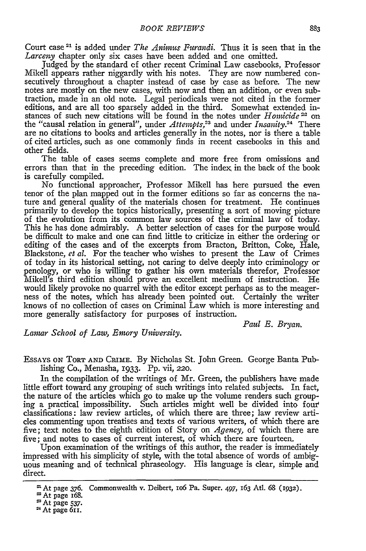Court case <sup>21</sup> is added under *The Animus Furandi*. Thus it is seen that in the *Larceny* chapter only six cases have been added and one omitted.

Judged by the standard cf other recent Criminal Law casebooks, Professor Mikell appears rather niggardly with his notes. They are now numbered consecutively throughout a chapter instead of case by case as before. The new notes are mostly on the new cases, with now and then an addition, or even subtraction, made in an old note. Legal periodicals were not cited in the former editions, and are all too sparsely added in the third. Somewhat extended instances of such new citations will be found in the notes under *Homicide*<sup>22</sup> on the "causal relation in general", under *Attempts*,<sup>23</sup> and under *Insanity*.<sup>24</sup> There are no citations to books and articles generally in the notes, nor is there a table of cited articles, such as one commonly finds in recent casebooks in this and other fields.

The table of cases seems complete and more free from omissions and errors than that in the preceding edition. The index in the back of the book is carefully compiled.

No functional approacher, Professor Mikell has here pursued the even tenor of the plan mapped out in the former editions so far as concerns the nature and general quality of the materials chosen for treatment. He continues primarily to develop the topics historically, presenting a sort of moving picture of the evolution from its common law sources of the criminal law of today. This he has done admirably. A better selection of cases for the purpose would be difficult to make and one can find little to criticize in either the ordering or editing of the cases and of the excerpts from Bracton, Britton, Coke, Hale, Blackstone, *et al.* For the teacher who wishes to present the Law of Crimes of today in its historical setting, not caring to delve deeply into criminology or penology, or who is willing to gather his own materials therefor, Professor Mikell's third edition should prove an excellent medium of instruction. He would likely provoke no quarrel with the editor except perhaps as to the meagerness of the notes, which has already been pointed out. Certainly the writer knows of no collection of cases on Criminal Law which is more interesting and more generally satisfactory for purposes of instruction.

*Paul E. Bryan.*

*Lamar School of Law, Emwry University.*

EssAYs **oN TORT AND** CRIME. By Nicholas St. John Green. George Banta Publishing Co., Menasha, 1933. Pp. vii, 220.

In the compilation of the writings of Mr. Green, the publishers have made little effort toward any grouping of such writings into related subjects. In fact, the nature of the articles which go to make up the volume renders such grouping a practical impossibility. Such articles might well be divided into fout classifications: law review articles, of which there are three; law review articles commenting upon treatises and texts of various writers, of which there are five; text notes to the eighth edition of Story on *Agency,* of which there are five; and notes to cases of current interest, of which there are fourteen.

Upon examination of the writings of this author, the reader is immediately impressed with his simplicity of style, with the total absence of words of ambiguous meaning and of technical phraseology. His language is clear, simple and direct.

 $n<sup>21</sup>$  At page 376. Commonwealth v. Deibert, 106 Pa. Super. 497, 163 Atl. 68 (1932).

 $22$  At page 168.

<sup>&</sup>lt;sup>23</sup> At page 537.

<sup>&</sup>lt;sup>24</sup> At page 611.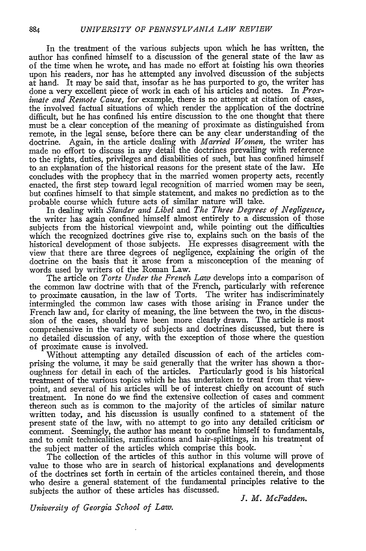In the treatment of the various subjects upon which he has written, the author has confined himself to a discussion of the general state of the law as of the time when he wrote, and has made no effort at foisting his own theories upon his readers, nor has he attempted any involved discussion of the subjects at hand. It may be said that, insofar as he has purported to go, the writer has done a very excellent piece of work in each of his articles and notes. In *Proximate and Remote Cause*, for example, there is no attempt at citation of cases, the involved factual situations of which render the application of the doctrine difficult, but he has confined his entire discussion to the one thought that there must be a clear conception of the meaning of proximate as distinguished from remote, in the legal sense, before there can be any clear understanding of the doctrine. Again, in the article dealing with *Married Womwn,* the writer has made no effort to discuss in any detail the doctrines prevailing with reference to the rights, duties, privileges and disabilities of such, but has confined himself to an explanation of the historical reasons for the present state of the law. He concludes with the prophecy that in the married women property acts, recently enacted, the first step toward legal recognition of married women may be seen, but confines himself to that simple statement, and makes no prediction as to the probable course which future acts of similar nature will take.

In dealing with *Slander and Libel* and *The Three Degrees of Negligence,* the writer has again confined himself almost entirely to a discussion of those subjects from the historical viewpoint and, while pointing out the difficulties which the recognized doctrines give rise to, explains such on the basis of the historical development of those subjects. He expresses disagreement with the view that there are three degrees of negligence, explaining the origin of the doctrine on the basis that it arose from a misconception of the meaning of words used **by** writers of the Roman Law.

The article on *Torts Under the French Law* develops into a comparison of the common law doctrine with that of the French, particularly with reference to proximate causation, in the law of Torts. The writer has indiscriminately intermingled the common law cases with those arising in France under the French law and, for clarity of meaning, the line between the two, in the discussion of the cases, should have been more clearly drawn. The article is most comprehensive in the variety of subjects and doctrines discussed, but there is no detailed discussion of any, with the exception of those where the question of proximate cause is involved.

Without attempting any detailed discussion of each of the articles comprising the volume, it may be said generally that the writer has shown a thoroughness for detail in each of the articles. Particularly good is his historical treatment of the various topics which he has undertaken to treat from that viewpoint, and several of his articles will be of interest chiefly on account of such treatment. In none do we find the extensive collection of cases and comment thereon such as is common to the majority of the articles of similar nature written today, and his discussion is usually confined to a statement of the present state of the law, with no attempt to go into any detailed criticism or comment. Seemingly, the author has meant to confine himself to fundamentals, and to omit technicalities, ramifications and hair-splittings, in his treatment of the subject matter of the articles which comprise this book.

The collection of the articles of this author in this volume will prove of value to those who are in search of historical explanations and developments of the doctrines set forth in certain of the articles contained therein, and those who desire a general statement of the fundamental principles relative to the subjects the author of these articles has discussed.

*J. M. McFadden.*

*University of Georgia School of Law.*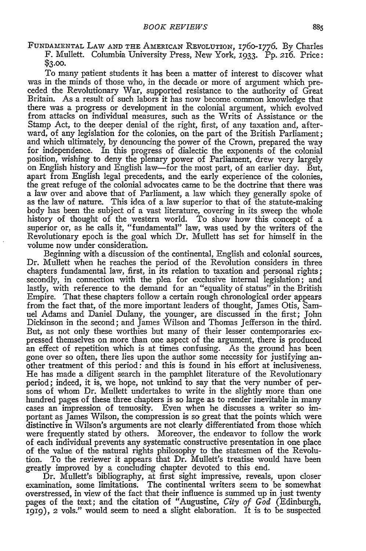FUNDAMENTAL LAW **AND** THE AMERICAN REVOLUTION, 176o-I776. By Charles F. Mullett. Columbia University Press, New York, 1933. Pp. 216. Price: **\$3.00.**

To many patient students it has been a matter of interest to discover what was in the minds of those who, in the decade or more of argument which preceded the Revolutionary War, supported resistance to the authority of Great Britain. As a result of such labors it has now become common knowledge that there was a progress or development in the colonial argument, which evolved from attacks on individual measures, such as the Writs of Assistance or the Stamp Act, to the deeper denial of the right, first, of any taxation and, afterward, of any legislation for the colonies, on the part of the British Parliament; and which ultimately, by denouncing the power of the Crown, prepared the way for independence. In this progress of dialectic the exponents of the colonial position, wishing to deny the plenary power of Parliament, drew very largely on English history and English law-for the most part, of an earlier day. But, apart from English legal precedents, and the early experience of the colonies, the great refuge of the colonial advocates came to be the doctrine that there was a law over and above that of Parliament, a law which they generally spoke of as the law of nature. This idea of a law superior to that of the statute-making body has been the subject of a vast literature, covering in its sweep the whole history of thought of the western world. To show how this concept of a superior or, as he calls it, "fundamental" law, was used by the writers of the Revolutionary epoch is the goal which Dr. Mullett has set for himself in the volume now under consideration.

Beginning with a discussion of the continental, English and colonial sources, Dr. Mullett when he reaches the period of the Revolution considers in three chapters fundamental law, first, in its relation to taxation and personal rights; secondly, in connection with the plea for exclusive internal legislation; and lastly, with reference to the demand for an "equality of status" in the British Empire. That these chapters follow a certain rough chronological order appears from the fact that, of the more important leaders of thought, James Otis, Samuel Adams and Daniel Dulany, the younger, are discussed in the first; John Dickinson in the second; and James Wilson and Thomas Jefferson in the third. But, as not only these worthies but many of their lesser contemporaries expressed themselves on more than one aspect of the argument, there is produced an effect of repetition which is at times confusing. As the ground has been gone over so often, there lies upon the author some necessity for justifying another treatment of this period: and this is found in his effort at inclusiveness. He has made a diligent search in the pamphlet literature of the Revolutionary period; indeed, it is, we hope, not unkind to say that the very number of persons of whom Dr. Mullett undertakes to write in the slightly more than one hundred pages of these three chapters is so large as to render inevitable in many cases an impression of tenuosity. Even when he discusses a writer so important as James Wilson, the compression is so great that the points which were distinctive in Wilson's arguments are not clearly differentiated from those which were frequently stated by others. Moreover, the endeavor to follow the work of each individual prevents any systematic constructive presentation in one place of the value of the natural rights philosophy to the statesmen of the Revolution. To the reviewer it appears that Dr. Mullett's treatise would have been greatly improved by a concluding chapter devoted to this end.

Dr. Mullett's bibliography, at first sight impressive, reveals, upon closer examination, some limitations. The continental writers seem to be somewhat overstressed, in view of the fact that their influence is summed up in just twenty pages of the text; and the citation of "Augustine, City of God (Edinburgh 1919), 2 vols." would seem to need a slight elaboration. It is to be suspected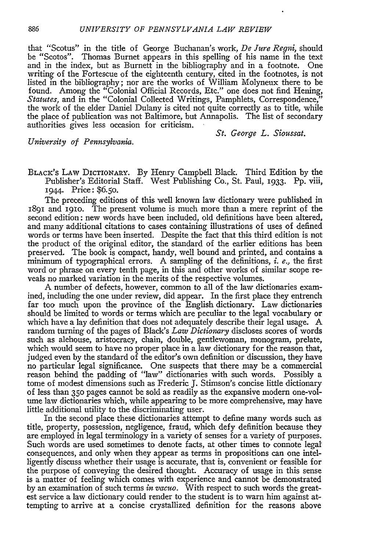that "Scotus" in the title of George Buchanan's work, *De Jure Regni,* should be "Scotos". Thomas Burnet appears in this spelling of his name in the text and in the index, but as Burnett in the bibliography and in a footnote. One writing of the Fortescue of the eighteenth century, cited in the footnotes, is not listed in the bibliography; nor are the works of William Molyneux there to be found. Among the "Colonial Official Records, Etc." one does not find Hening, *Statutes,* and in the "Colonial Collected Writings, Pamphlets, Correspondence," the work of the elder Daniel Dulany is cited not quite correctly as to title, while the place of publication was not Baltimore, but Annapolis. The list of secondary authorities gives less occasion for criticism.

*St. George L. Sioussat.*

*University of Pennsylvania.*

BLACK'S LAW DICTIONARY. By Henry Campbell Black. Third Edition **by** the Publisher's Editorial Staff. West Publishing Co., St. Paul, 1933. Pp. viii, 1944. Price: \$6.50.

The preceding editions of this well known law dictionary were published in 1891 and **191o.** The present volume is much more than a mere reprint of the second edition: new words have been included, old definitions have been altered, and many additional citations to cases containing illustrations of uses of defined words or terms have been inserted. Despite the fact that this third edition is not the product of the original editor, the standard of the earlier editions has been preserved. The book is compact, handy, well bound and printed, and contains a minimum of typographical errors. A sampling of the definitions, *i. e.,* the first word or phrase on every tenth page, in this and other works of similar scope reveals no marked variation in the merits of the respective volumes.

A number of defects, however, common to all of the law dictionaries examined, including the one under review, did appear. In the first place they entrench far too much upon the province of the English dictionary. Law dictionaries should be limited to words or terms which are peculiar to the legal vocabulary or which have a lay definition that does not adequately describe their legal usage. A random turning of the pages of Black's *Law Dictionary* discloses scores of words such as alehouse, aristocracy, chain, double, gentlewoman, monogram, prelate, which would seem to have no proper place in a law dictionary for the reason that, judged even **by** the standard of the editor's own definition or discussion, they have no particular legal significance. One suspects that there may be a commercial reason behind the padding of "law" dictionaries with such words. Possibly a tome of modest dimensions such as Frederic **J.** Stimson's concise little dictionary of less than **350** pages cannot be sold as readily as the expansive modern one-volume law dictionaries which, while appearing to be more comprehensive, may have little additional utility to the discriminating user.

In the second place these dictionaries attempt to define many words such as title, property, possession, negligence, fraud, which defy definition because they are employed in legal terminology in a variety of senses for a variety of purposes. Such words are used sometimes to denote facts, at other times to connote legal' consequences, and only when they appear as terms in propositions can one intelligently discuss whether their usage is accurate, that is, convenient or feasible for the purpose of conveying the desired thought. Accuracy of usage in this sense is a matter of feeling which comes with experience and cannot be demonstrated **by** an examination of such terms *in vacuo.* With respect to such words the greatest service a law dictionary could render to the student is to warn him against attempting to arrive at a concise crystallized definition for the reasons above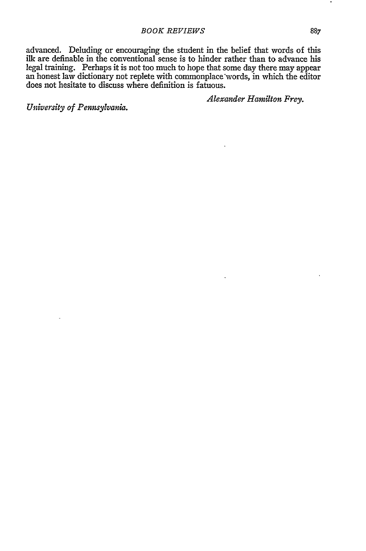advanced. Deluding or encouraging the student in the belief that words of this ilk are definable in the conventional sense is to hinder rather than to advance his legal training. Perhaps it is not too much to hope that some day there may appear an honest law dictionary not replete with commonplace words, in which the editor does not hesitate to discuss where definition is fatuous.

*Alexander Hamilton Frey.*

*University of Pennsylvania.*